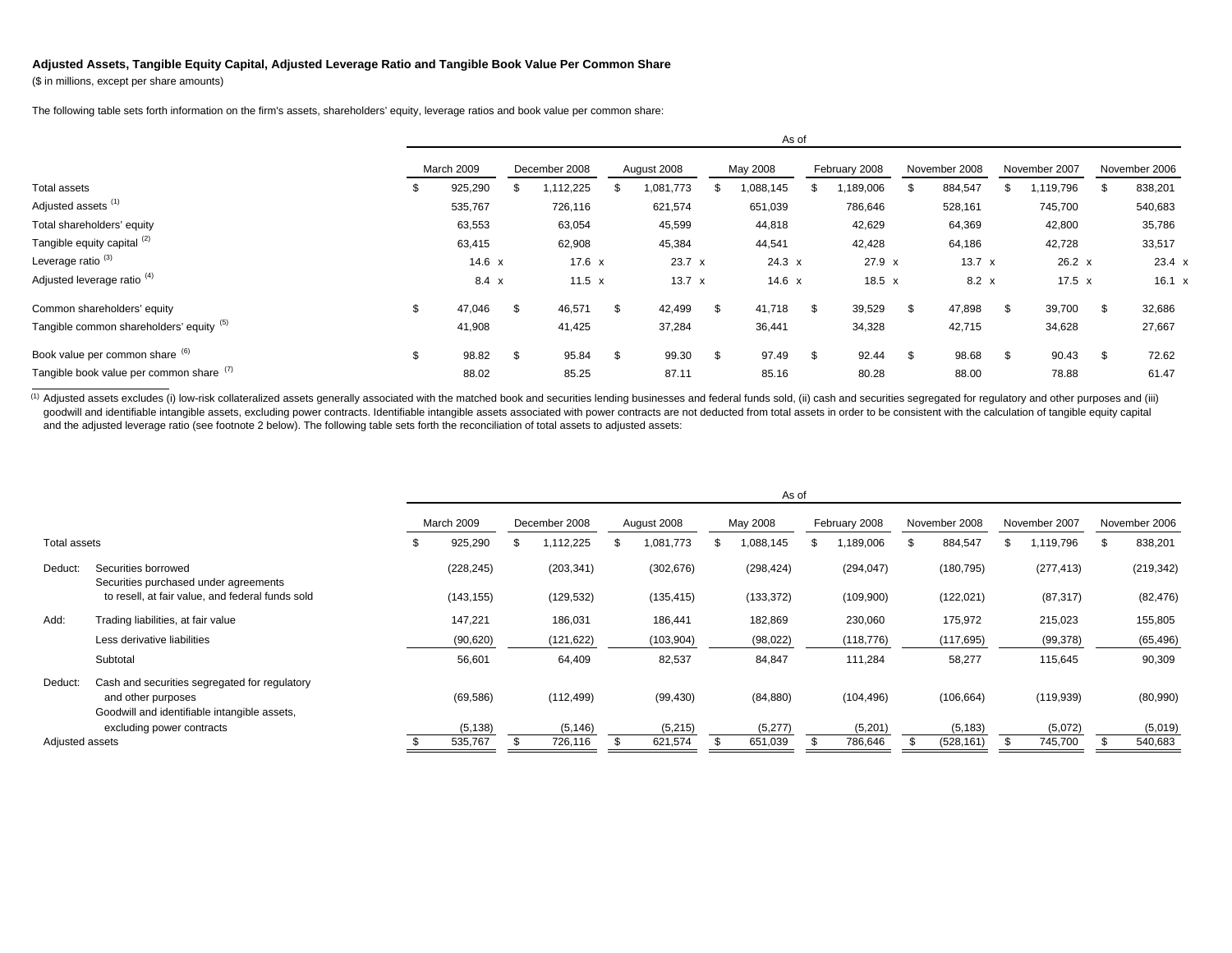## **Adjusted Assets, Tangible Equity Capital, Adjusted Leverage Ratio and Tangible Book Value Per Common Share**

(\$ in millions, except per share amounts)

The following table sets forth information on the firm's assets, shareholders' equity, leverage ratios and book value per common share:

|                                          |            | AS UI         |               |          |    |               |     |               |               |               |               |               |               |               |               |         |
|------------------------------------------|------------|---------------|---------------|----------|----|---------------|-----|---------------|---------------|---------------|---------------|---------------|---------------|---------------|---------------|---------|
|                                          | March 2009 |               | December 2008 |          |    | August 2008   |     | May 2008      | February 2008 |               | November 2008 |               | November 2007 |               | November 2006 |         |
| Total assets                             |            | 925,290       |               | ,112,225 |    | 1,081,773     |     | 088,145       |               | ,189,006      |               | 884,547       |               | 1,119,796     |               | 838,201 |
| Adjusted assets <sup>(1)</sup>           |            | 535,767       |               | 726,116  |    | 621,574       |     | 651,039       |               | 786,646       |               | 528,161       |               | 745,700       |               | 540,683 |
| Total shareholders' equity               |            | 63,553        |               | 63,054   |    | 45,599        |     | 44,818        |               | 42,629        |               | 64,369        |               | 42,800        |               | 35,786  |
| Tangible equity capital (2)              |            | 63,415        |               | 62,908   |    | 45,384        |     | 44,541        |               | 42,428        |               | 64,186        |               | 42,728        |               | 33,517  |
| Leverage ratio <sup>(3)</sup>            |            | $14.6 \times$ |               | 17.6 x   |    | 23.7 x        |     | $24.3 \times$ |               | $27.9 \times$ |               | $13.7 \times$ |               | $26.2 \times$ |               | 23.4 x  |
| Adjusted leverage ratio <sup>(4)</sup>   |            | $8.4 \times$  |               | 11.5 $x$ |    | $13.7 \times$ |     | 14.6 $x$      |               | $18.5 \times$ |               | $8.2 \times$  |               | $17.5 \times$ |               | 16.1 x  |
| Common shareholders' equity              | \$.        | 47,046        | \$            | 46,571   | \$ | 42,499        | S.  | 41,718        | - \$          | 39,529        | -S            | 47,898        | -S            | 39,700        | \$.           | 32,686  |
| Tangible common shareholders' equity (5) |            | 41,908        |               | 41,425   |    | 37,284        |     | 36,441        |               | 34,328        |               | 42,715        |               | 34,628        |               | 27,667  |
| Book value per common share (6)          |            | 98.82         | \$            | 95.84    | \$ | 99.30         | \$. | 97.49         | -S            | 92.44         | -\$           | 98.68         | -9            | 90.43         |               | 72.62   |
| Tangible book value per common share (7) |            | 88.02         |               | 85.25    |    | 87.11         |     | 85.16         |               | 80.28         |               | 88.00         |               | 78.88         |               | 61.47   |

 $A = -1$ 

(1) Adjusted assets excludes (i) low-risk collateralized assets generally associated with the matched book and securities lending businesses and federal funds sold, (ii) cash and securities segregated for regulatory and ot goodwill and identifiable intangible assets, excluding power contracts. Identifiable intangible assets associated with power contracts are not deducted from total assets in order to be consistent with the calculation of ta and the adjusted leverage ratio (see footnote 2 below). The following table sets forth the reconciliation of total assets to adjusted assets:

|                 |                                                                                                                                                  | As of |                       |     |                        |  |                      |  |                      |               |                       |               |                        |               |                       |    |                     |
|-----------------|--------------------------------------------------------------------------------------------------------------------------------------------------|-------|-----------------------|-----|------------------------|--|----------------------|--|----------------------|---------------|-----------------------|---------------|------------------------|---------------|-----------------------|----|---------------------|
|                 |                                                                                                                                                  |       | March 2009            |     | December 2008          |  | August 2008          |  | May 2008             | February 2008 |                       | November 2008 |                        | November 2007 |                       |    | November 2006       |
| Total assets    |                                                                                                                                                  | - 35  | 925,290               | ۰ħ. | 112,225                |  | 1,081,773            |  | ,088,145             |               | ,189,006              |               | 884,547                | ж             | 1,119,796             | £. | 838,201             |
| Deduct:         | Securities borrowed<br>Securities purchased under agreements                                                                                     |       | (228, 245)            |     | (203, 341)             |  | (302, 676)           |  | (298, 424)           |               | (294, 047)            |               | (180, 795)             |               | (277, 413)            |    | (219, 342)          |
|                 | to resell, at fair value, and federal funds sold                                                                                                 |       | (143, 155)            |     | (129, 532)             |  | (135, 415)           |  | (133, 372)           |               | (109,900)             |               | (122, 021)             |               | (87, 317)             |    | (82, 476)           |
| Add:            | Trading liabilities, at fair value                                                                                                               |       | 147,221               |     | 186,031                |  | 186,441              |  | 182,869              |               | 230,060               |               | 175,972                |               | 215,023               |    | 155,805             |
|                 | Less derivative liabilities                                                                                                                      |       | (90, 620)             |     | (121, 622)             |  | (103, 904)           |  | (98, 022)            |               | (118, 776)            |               | (117, 695)             |               | (99, 378)             |    | (65, 496)           |
|                 | Subtotal                                                                                                                                         |       | 56,601                |     | 64,409                 |  | 82,537               |  | 84,847               |               | 111,284               |               | 58,277                 |               | 115,645               |    | 90,309              |
| Deduct:         | Cash and securities segregated for regulatory<br>and other purposes<br>Goodwill and identifiable intangible assets,<br>excluding power contracts |       | (69, 586)<br>(5, 138) |     | (112, 499)<br>(5, 146) |  | (99, 430)<br>(5,215) |  | (84, 880)<br>(5,277) |               | (104, 496)<br>(5,201) |               | (106, 664)<br>(5, 183) |               | (119, 939)<br>(5,072) |    | (80,990)<br>(5,019) |
| Adjusted assets |                                                                                                                                                  |       | 535,767               |     | 726,116                |  | 621,574              |  | 651,039              |               | 786,646               |               | (528, 161)             |               | 745,700               |    | 540,683             |